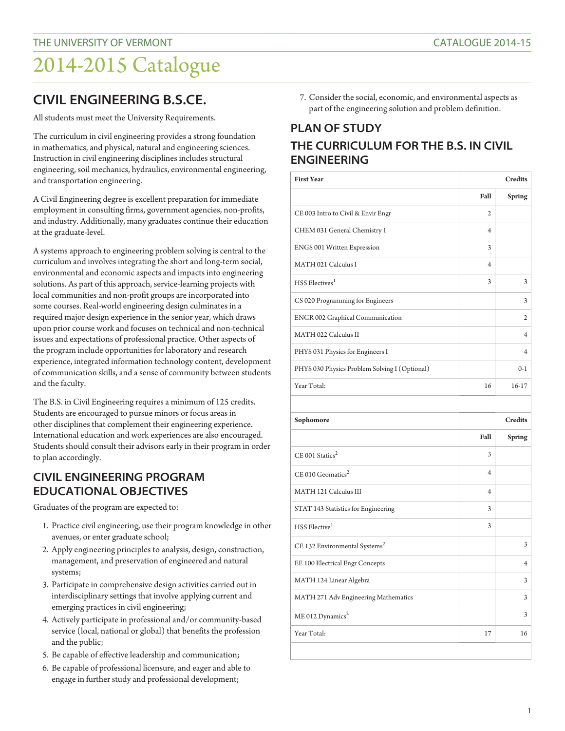## THE UNIVERSITY OF VERMONT THE UNIVERSITY OF VERMONT AND CATALOGUE 2014-15

# 2014-2015 Catalogue

### **CIVIL ENGINEERING B.S.CE.**

All students must meet the University Requirements.

The curriculum in civil engineering provides a strong foundation in mathematics, and physical, natural and engineering sciences. Instruction in civil engineering disciplines includes structural engineering, soil mechanics, hydraulics, environmental engineering, and transportation engineering.

A Civil Engineering degree is excellent preparation for immediate employment in consulting firms, government agencies, non-profits, and industry. Additionally, many graduates continue their education at the graduate-level.

A systems approach to engineering problem solving is central to the curriculum and involves integrating the short and long-term social, environmental and economic aspects and impacts into engineering solutions. As part of this approach, service-learning projects with local communities and non-profit groups are incorporated into some courses. Real-world engineering design culminates in a required major design experience in the senior year, which draws upon prior course work and focuses on technical and non-technical issues and expectations of professional practice. Other aspects of the program include opportunities for laboratory and research experience, integrated information technology content, development of communication skills, and a sense of community between students and the faculty.

The B.S. in Civil Engineering requires a minimum of 125 credits. Students are encouraged to pursue minors or focus areas in other disciplines that complement their engineering experience. International education and work experiences are also encouraged. Students should consult their advisors early in their program in order to plan accordingly.

#### **CIVIL ENGINEERING PROGRAM EDUCATIONAL OBJECTIVES**

Graduates of the program are expected to:

- 1. Practice civil engineering, use their program knowledge in other avenues, or enter graduate school;
- 2. Apply engineering principles to analysis, design, construction, management, and preservation of engineered and natural systems;
- 3. Participate in comprehensive design activities carried out in interdisciplinary settings that involve applying current and emerging practices in civil engineering;
- 4. Actively participate in professional and/or community-based service (local, national or global) that benefits the profession and the public;
- 5. Be capable of effective leadership and communication;
- 6. Be capable of professional licensure, and eager and able to engage in further study and professional development;

7. Consider the social, economic, and environmental aspects as part of the engineering solution and problem definition.

### **PLAN OF STUDY**

#### **THE CURRICULUM FOR THE B.S. IN CIVIL ENGINEERING**

| <b>First Year</b>                             | <b>Credits</b> |                |
|-----------------------------------------------|----------------|----------------|
|                                               | Fall           | Spring         |
| CE 003 Intro to Civil & Envir Engr            | 2              |                |
| CHEM 031 General Chemistry 1                  | $\overline{4}$ |                |
| ENGS 001 Written Expression                   | 3              |                |
| MATH 021 Calculus I                           | $\overline{4}$ |                |
| HSS Electives <sup>1</sup>                    | 3              | 3              |
| CS 020 Programming for Engineers              |                | 3              |
| ENGR 002 Graphical Communication              |                | 2              |
| MATH 022 Calculus II                          |                | $\overline{4}$ |
| PHYS 031 Physics for Engineers I              |                | 4              |
| PHYS 030 Physics Problem Solving I (Optional) |                | $0 - 1$        |
| Year Total:                                   | 16             | 16-17          |
|                                               |                |                |
|                                               |                |                |
| Sophomore                                     |                | <b>Credits</b> |
|                                               | Fall           | Spring         |
| $CE$ 001 Statics <sup>2</sup>                 | 3              |                |
| CE 010 Geomatics <sup>2</sup>                 | $\overline{4}$ |                |
| MATH 121 Calculus III                         | $\overline{4}$ |                |
| STAT 143 Statistics for Engineering           | 3              |                |
| HSS Elective <sup>1</sup>                     | 3              |                |
| CE 132 Environmental Systems <sup>2</sup>     |                | 3              |
| EE 100 Electrical Engr Concepts               |                | 4              |
| MATH 124 Linear Algebra                       |                | 3              |
| MATH 271 Adv Engineering Mathematics          |                | 3              |
| ME 012 Dynamics <sup>2</sup>                  |                | 3              |